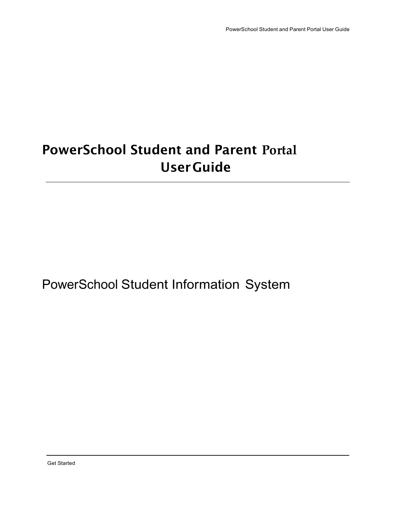# **PowerSchool Student and Parent Portal UserGuide**

## PowerSchool Student Information System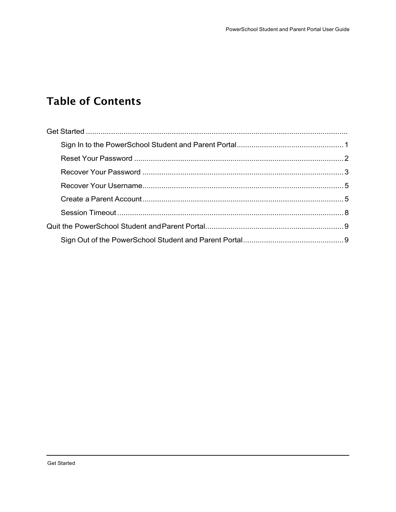## **Table of Contents**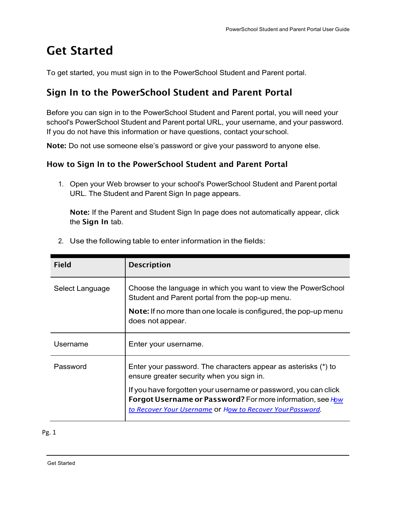## **Get Started**

To get started, you must sign in to the PowerSchool Student and Parent portal.

## <span id="page-2-0"></span>**Sign In to the PowerSchool Student and Parent Portal**

Before you can sign in to the PowerSchool Student and Parent portal, you will need your school's PowerSchool Student and Parent portal URL, your username, and your password. If you do not have this information or have questions, contact yourschool.

**Note:** Do not use someone else's password or give your password to anyone else.

#### **How to Sign In to the PowerSchool Student and Parent Portal**

1. Open your Web browser to your school's PowerSchool Student and Parent portal URL. The Student and Parent Sign In page appears.

**Note:** If the Parent and Student Sign In page does not automatically appear, click the **Sign In** tab.

| <b>Field</b>    | <b>Description</b>                                                                                                                                                                        |
|-----------------|-------------------------------------------------------------------------------------------------------------------------------------------------------------------------------------------|
| Select Language | Choose the language in which you want to view the PowerSchool<br>Student and Parent portal from the pop-up menu.                                                                          |
|                 | Note: If no more than one locale is configured, the pop-up menu<br>does not appear.                                                                                                       |
| Username        | Enter your username.                                                                                                                                                                      |
| Password        | Enter your password. The characters appear as asterisks (*) to<br>ensure greater security when you sign in.                                                                               |
|                 | If you have forgotten your username or password, you can click<br>Forgot Username or Password? For more information, see How<br>to Recover Your Username Or How to Recover Your Password. |

2. Use the following table to enter information in the fields:

#### Pg. 1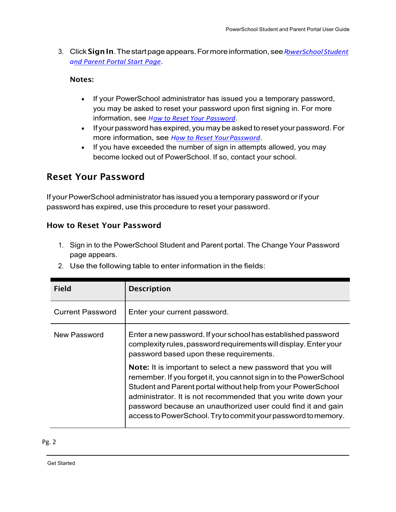3. Click**SignIn**.Thestartpageappears.Formoreinformation, see*PowerSchool Student and Parent Portal Start Page*.

#### **Notes:**

- If your PowerSchool administrator has issued you a temporary password, you may be asked to reset your password upon first signing in. For more information, see *How to Reset Your Password*.
- If your password has expired, you may be asked to reset your password. For more information, see *How to Reset YourPassword*.
- If you have exceeded the number of sign in attempts allowed, you may become locked out of PowerSchool. If so, contact your school.

## <span id="page-3-0"></span>**Reset Your Password**

If your PowerSchool administrator has issued you a temporary password or if your password has expired, use this procedure to reset your password.

#### **How to Reset Your Password**

- 1. Sign in to the PowerSchool Student and Parent portal. The Change Your Password page appears.
- 2. Use the following table to enter information in the fields:

| <b>Field</b>            | <b>Description</b>                                                                                                                                                                                                                                                                                                                                                                                  |
|-------------------------|-----------------------------------------------------------------------------------------------------------------------------------------------------------------------------------------------------------------------------------------------------------------------------------------------------------------------------------------------------------------------------------------------------|
| <b>Current Password</b> | Enter your current password.                                                                                                                                                                                                                                                                                                                                                                        |
| New Password            | Enter a new password. If your school has established password<br>complexity rules, password requirements will display. Enter your<br>password based upon these requirements.                                                                                                                                                                                                                        |
|                         | Note: It is important to select a new password that you will<br>remember. If you forget it, you cannot sign in to the PowerSchool<br>Student and Parent portal without help from your PowerSchool<br>administrator. It is not recommended that you write down your<br>password because an unauthorized user could find it and gain<br>access to PowerSchool. Try to commit your password to memory. |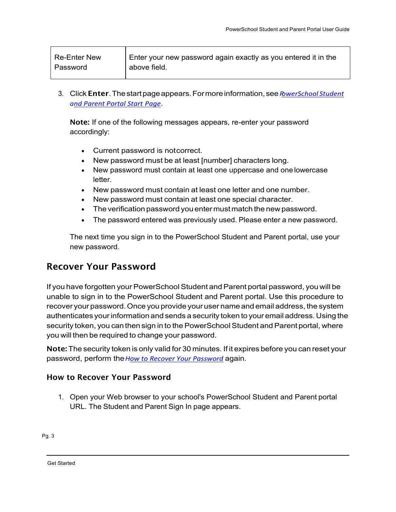| <b>Re-Enter New</b> | Enter your new password again exactly as you entered it in the |
|---------------------|----------------------------------------------------------------|
| Password            | above field.                                                   |

3. Click**Enter**.Thestartpageappears.Formoreinformation, see*PowerSchool Student and Parent Portal Start Page*.

**Note:** If one of the following messages appears, re-enter your password accordingly:

- Current password is notcorrect.
- New password must be at least [number] characters long.
- New password must contain at least one uppercase and onelowercase letter.
- New password must contain at least one letter and one number.
- New password must contain at least one special character.
- The verification password youentermustmatch the new password.
- The password entered was previously used. Please enter a new password.

The next time you sign in to the PowerSchool Student and Parent portal, use your new password.

### <span id="page-4-0"></span>**Recover Your Password**

If you have forgotten your PowerSchool Student and Parent portal password, you will be unable to sign in to the PowerSchool Student and Parent portal. Use this procedure to recover your password.Once you provide youruser name and email address, the system authenticates yourinformation and sends a security token to your email address.Using the security token, you can then sign in to the PowerSchool Student and Parent portal, where you will then be required to change your password.

**Note:** The security token is only valid for 30 minutes. If it expires before you can reset your password, perform the*How to Recover Your Password* again.

#### **How to Recover Your Password**

1. Open your Web browser to your school's PowerSchool Student and Parent portal URL. The Student and Parent Sign In page appears.

Г

Get Started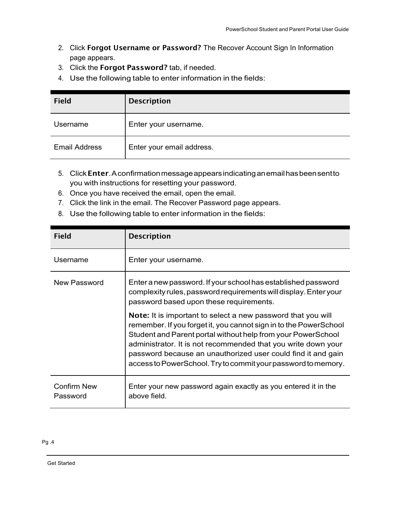- 2. Click **Forgot Username or Password?** The Recover Account Sign In Information page appears.
- 3. Click the **Forgot Password?** tab, if needed.
- 4. Use the following table to enter information in the fields:

| <b>Field</b>         | <b>Description</b>        |
|----------------------|---------------------------|
| Username             | Enter your username.      |
| <b>Email Address</b> | Enter your email address. |

- 5. Click**Enter**.Aconfirmationmessageappearsindicatinganemailhasbeensentto you with instructions for resetting your password.
- 6. Once you have received the email, open the email.
- 7. Click the link in the email. The Recover Password page appears.
- 8. Use the following table to enter information in the fields:

| <b>Field</b>                   | <b>Description</b>                                                                                                                                                                                                                                                                                                                                                                                         |
|--------------------------------|------------------------------------------------------------------------------------------------------------------------------------------------------------------------------------------------------------------------------------------------------------------------------------------------------------------------------------------------------------------------------------------------------------|
| Username                       | Enter your username.                                                                                                                                                                                                                                                                                                                                                                                       |
| New Password                   | Enter a new password. If your school has established password<br>complexity rules, password requirements will display. Enter your<br>password based upon these requirements.                                                                                                                                                                                                                               |
|                                | <b>Note:</b> It is important to select a new password that you will<br>remember. If you forget it, you cannot sign in to the PowerSchool<br>Student and Parent portal without help from your PowerSchool<br>administrator. It is not recommended that you write down your<br>password because an unauthorized user could find it and gain<br>access to PowerSchool. Try to commit your password to memory. |
| <b>Confirm New</b><br>Password | Enter your new password again exactly as you entered it in the<br>above field.                                                                                                                                                                                                                                                                                                                             |

Get Started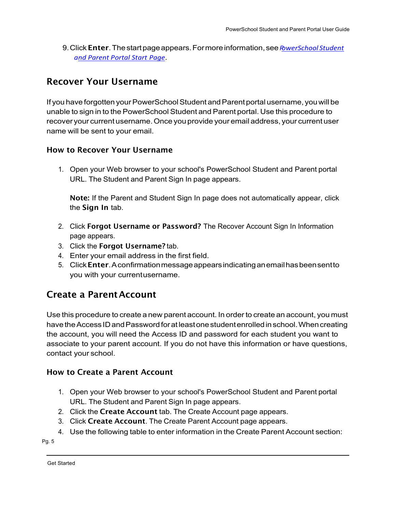9.Click**Enter**.Thestartpageappears.Formoreinformation, see*PowerSchool Student and Parent Portal Start Page*.

### <span id="page-6-0"></span>**Recover Your Username**

If you have forgotten your PowerSchool Student and Parent portal username, you will be unable to sign in to the PowerSchool Student and Parent portal. Use this procedure to recover your current username.Once you provide your email address, your current user name will be sent to your email.

#### **How to Recover Your Username**

1. Open your Web browser to your school's PowerSchool Student and Parent portal URL. The Student and Parent Sign In page appears.

**Note:** If the Parent and Student Sign In page does not automatically appear, click the **Sign In** tab.

- 2. Click **Forgot Username or Password?** The Recover Account Sign In Information page appears.
- 3. Click the **Forgot Username?** tab.
- 4. Enter your email address in the first field.
- 5. Click**Enter**.Aconfirmationmessageappearsindicatinganemailhasbeensentto you with your currentusername.

### <span id="page-6-1"></span>**Create a ParentAccount**

Use this procedure to create a new parent account. In order to create an account, you must have the Access ID and Password for at least one student enrolled in school. When creating the account, you will need the Access ID and password for each student you want to associate to your parent account. If you do not have this information or have questions, contact your school.

#### **How to Create a Parent Account**

- 1. Open your Web browser to your school's PowerSchool Student and Parent portal URL. The Student and Parent Sign In page appears.
- 2. Click the **Create Account** tab. The Create Account page appears.
- 3. Click **Create Account**. The Create Parent Account page appears.
- 4. Use the following table to enter information in the Create Parent Account section:

Pg. 5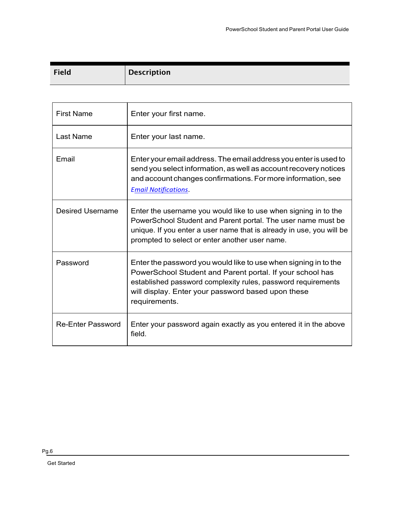| <b>Field</b> | <b>Description</b> |
|--------------|--------------------|

| <b>First Name</b>        | Enter your first name.                                                                                                                                                                                                                                              |
|--------------------------|---------------------------------------------------------------------------------------------------------------------------------------------------------------------------------------------------------------------------------------------------------------------|
| <b>Last Name</b>         | Enter your last name.                                                                                                                                                                                                                                               |
| Email                    | Enter your email address. The email address you enter is used to<br>send you select information, as well as account recovery notices<br>and account changes confirmations. For more information, see<br><b>Email Notifications.</b>                                 |
| <b>Desired Username</b>  | Enter the username you would like to use when signing in to the<br>PowerSchool Student and Parent portal. The user name must be<br>unique. If you enter a user name that is already in use, you will be<br>prompted to select or enter another user name.           |
| Password                 | Enter the password you would like to use when signing in to the<br>PowerSchool Student and Parent portal. If your school has<br>established password complexity rules, password requirements<br>will display. Enter your password based upon these<br>requirements. |
| <b>Re-Enter Password</b> | Enter your password again exactly as you entered it in the above<br>field.                                                                                                                                                                                          |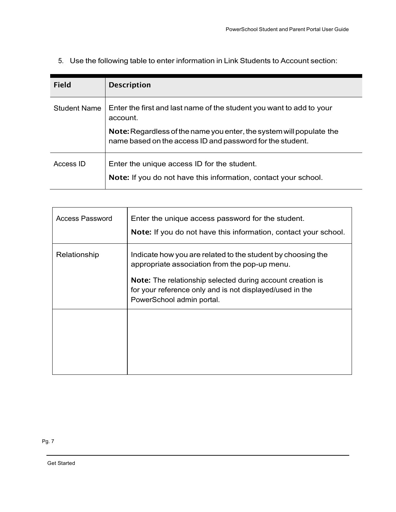| <b>Field</b>        | <b>Description</b>                                                                                                                |
|---------------------|-----------------------------------------------------------------------------------------------------------------------------------|
| <b>Student Name</b> | Enter the first and last name of the student you want to add to your<br>account.                                                  |
|                     | Note: Regardless of the name you enter, the system will populate the<br>name based on the access ID and password for the student. |
| Access ID           | Enter the unique access ID for the student.<br>Note: If you do not have this information, contact your school.                    |

5. Use the following table to enter information in Link Students to Account section:

| Access Password | Enter the unique access password for the student.<br><b>Note:</b> If you do not have this information, contact your school.                                                                                                                                                |
|-----------------|----------------------------------------------------------------------------------------------------------------------------------------------------------------------------------------------------------------------------------------------------------------------------|
| Relationship    | Indicate how you are related to the student by choosing the<br>appropriate association from the pop-up menu.<br><b>Note:</b> The relationship selected during account creation is<br>for your reference only and is not displayed/used in the<br>PowerSchool admin portal. |
|                 |                                                                                                                                                                                                                                                                            |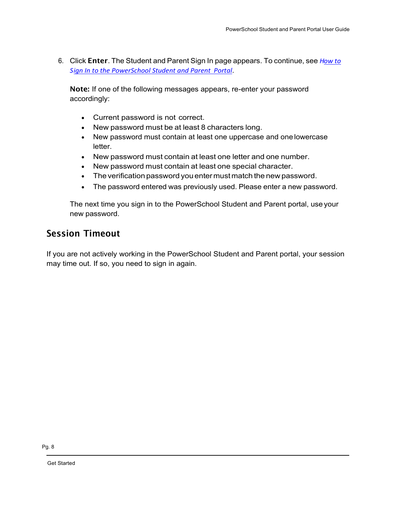6. Click **Enter**. The Student and Parent Sign In page appears. To continue, see *How to Sign In to the PowerSchool Student and Parent Portal*.

**Note:** If one of the following messages appears, re-enter your password accordingly:

- Current password is not correct.
- New password must be at least 8 characters long.
- New password must contain at least one uppercase and onelowercase letter.
- New password must contain at least one letter and one number.
- New password must contain at least one special character.
- The verification password youentermustmatch the new password.
- The password entered was previously used. Please enter a new password.

The next time you sign in to the PowerSchool Student and Parent portal, use your new password.

## <span id="page-9-0"></span>**Session Timeout**

If you are not actively working in the PowerSchool Student and Parent portal, your session may time out. If so, you need to sign in again.